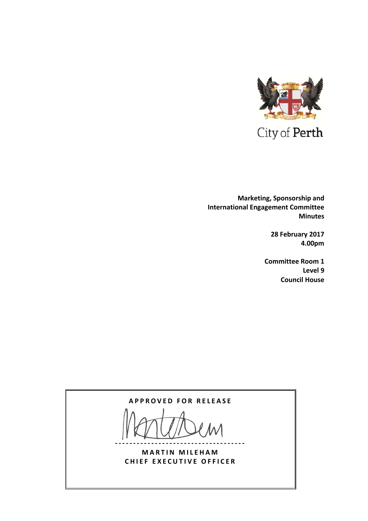

  **Marketing, Sponsorship and International Engagement Committee Minutes**

> **28 February 2017 4.00pm**

**Committee Room 1 Level 9 Council House**

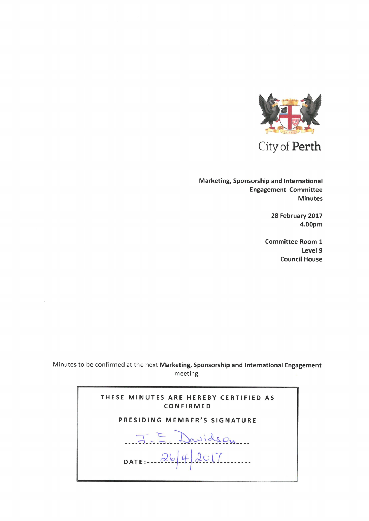

City of Perth

Marketing, Sponsorship and International Engagement Committee Minutes

> 28 February 2017 4.00pm

Committee Room <sup>1</sup> Level 9 Council House

Minutes to be confirmed at the next Marketing, Sponsorship and International Engagement meeting.

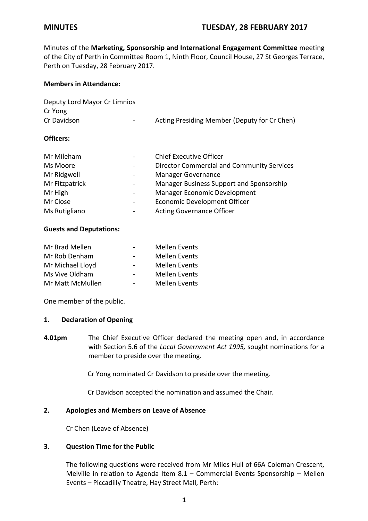Minutes of the **Marketing, Sponsorship and International Engagement Committee** meeting of the City of Perth in Committee Room 1, Ninth Floor, Council House, 27 St Georges Terrace, Perth on Tuesday, 28 February 2017.

### **Members in Attendance:**

| Deputy Lord Mayor Cr Limnios |                  |                                              |
|------------------------------|------------------|----------------------------------------------|
| Cr Yong                      |                  |                                              |
| Cr Davidson                  | $\sim$ 100 $\mu$ | Acting Presiding Member (Deputy for Cr Chen) |
|                              |                  |                                              |

### **Officers:**

| Mr Mileham     |                          | <b>Chief Executive Officer</b>                    |
|----------------|--------------------------|---------------------------------------------------|
| Ms Moore       |                          | <b>Director Commercial and Community Services</b> |
| Mr Ridgwell    |                          | <b>Manager Governance</b>                         |
| Mr Fitzpatrick |                          | Manager Business Support and Sponsorship          |
| Mr High        |                          | <b>Manager Economic Development</b>               |
| Mr Close       | $\overline{\phantom{a}}$ | <b>Economic Development Officer</b>               |
| Ms Rutigliano  |                          | <b>Acting Governance Officer</b>                  |

### **Guests and Deputations:**

| Mr Brad Mellen   | <b>Mellen Events</b> |
|------------------|----------------------|
| Mr Rob Denham    | <b>Mellen Events</b> |
| Mr Michael Lloyd | <b>Mellen Events</b> |
| Ms Vive Oldham   | <b>Mellen Events</b> |
| Mr Matt McMullen | <b>Mellen Events</b> |

One member of the public.

## **1. Declaration of Opening**

**4.01pm** The Chief Executive Officer declared the meeting open and, in accordance with Section 5.6 of the *Local Government Act 1995,* sought nominations for a member to preside over the meeting.

Cr Yong nominated Cr Davidson to preside over the meeting.

Cr Davidson accepted the nomination and assumed the Chair.

## **2. Apologies and Members on Leave of Absence**

Cr Chen (Leave of Absence)

## **3. Question Time for the Public**

The following questions were received from Mr Miles Hull of 66A Coleman Crescent, Melville in relation to Agenda Item  $8.1$  – Commercial Events Sponsorship – Mellen Events – Piccadilly Theatre, Hay Street Mall, Perth: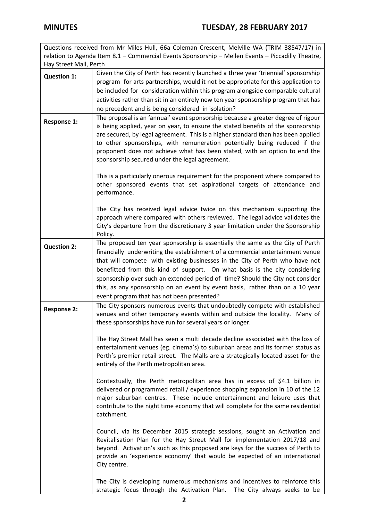|                                                                                                   | Questions received from Mr Miles Hull, 66a Coleman Crescent, Melville WA (TRIM 38547/17) in                                                                                                                                                                                                                                                                                                                                                                                                                                                      |  |
|---------------------------------------------------------------------------------------------------|--------------------------------------------------------------------------------------------------------------------------------------------------------------------------------------------------------------------------------------------------------------------------------------------------------------------------------------------------------------------------------------------------------------------------------------------------------------------------------------------------------------------------------------------------|--|
| relation to Agenda Item 8.1 - Commercial Events Sponsorship - Mellen Events - Piccadilly Theatre, |                                                                                                                                                                                                                                                                                                                                                                                                                                                                                                                                                  |  |
| Hay Street Mall, Perth                                                                            |                                                                                                                                                                                                                                                                                                                                                                                                                                                                                                                                                  |  |
| <b>Question 1:</b>                                                                                | Given the City of Perth has recently launched a three year 'triennial' sponsorship<br>program for arts partnerships, would it not be appropriate for this application to<br>be included for consideration within this program alongside comparable cultural<br>activities rather than sit in an entirely new ten year sponsorship program that has<br>no precedent and is being considered in isolation?                                                                                                                                         |  |
| <b>Response 1:</b>                                                                                | The proposal is an 'annual' event sponsorship because a greater degree of rigour<br>is being applied, year on year, to ensure the stated benefits of the sponsorship<br>are secured, by legal agreement. This is a higher standard than has been applied<br>to other sponsorships, with remuneration potentially being reduced if the<br>proponent does not achieve what has been stated, with an option to end the<br>sponsorship secured under the legal agreement.                                                                            |  |
|                                                                                                   | This is a particularly onerous requirement for the proponent where compared to<br>other sponsored events that set aspirational targets of attendance and<br>performance.                                                                                                                                                                                                                                                                                                                                                                         |  |
|                                                                                                   | The City has received legal advice twice on this mechanism supporting the<br>approach where compared with others reviewed. The legal advice validates the<br>City's departure from the discretionary 3 year limitation under the Sponsorship<br>Policy.                                                                                                                                                                                                                                                                                          |  |
| <b>Question 2:</b>                                                                                | The proposed ten year sponsorship is essentially the same as the City of Perth<br>financially underwriting the establishment of a commercial entertainment venue<br>that will compete with existing businesses in the City of Perth who have not<br>benefitted from this kind of support. On what basis is the city considering<br>sponsorship over such an extended period of time? Should the City not consider<br>this, as any sponsorship on an event by event basis, rather than on a 10 year<br>event program that has not been presented? |  |
| <b>Response 2:</b>                                                                                | The City sponsors numerous events that undoubtedly compete with established<br>venues and other temporary events within and outside the locality. Many of<br>these sponsorships have run for several years or longer.                                                                                                                                                                                                                                                                                                                            |  |
|                                                                                                   | The Hay Street Mall has seen a multi decade decline associated with the loss of<br>entertainment venues (eg. cinema's) to suburban areas and its former status as<br>Perth's premier retail street. The Malls are a strategically located asset for the<br>entirely of the Perth metropolitan area.                                                                                                                                                                                                                                              |  |
|                                                                                                   | Contextually, the Perth metropolitan area has in excess of \$4.1 billion in<br>delivered or programmed retail / experience shopping expansion in 10 of the 12<br>major suburban centres. These include entertainment and leisure uses that<br>contribute to the night time economy that will complete for the same residential<br>catchment.                                                                                                                                                                                                     |  |
|                                                                                                   | Council, via its December 2015 strategic sessions, sought an Activation and<br>Revitalisation Plan for the Hay Street Mall for implementation 2017/18 and<br>beyond. Activation's such as this proposed are keys for the success of Perth to<br>provide an 'experience economy' that would be expected of an international<br>City centre.                                                                                                                                                                                                       |  |
|                                                                                                   | The City is developing numerous mechanisms and incentives to reinforce this<br>strategic focus through the Activation Plan. The City always seeks to be                                                                                                                                                                                                                                                                                                                                                                                          |  |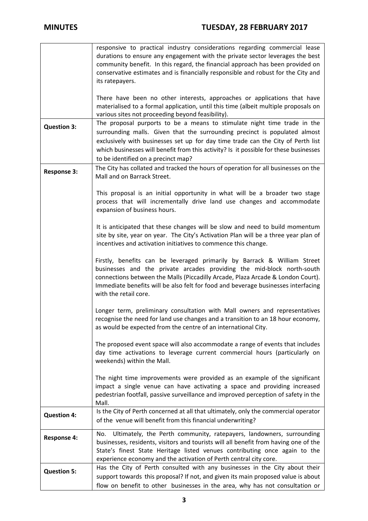|                    | responsive to practical industry considerations regarding commercial lease<br>durations to ensure any engagement with the private sector leverages the best<br>community benefit. In this regard, the financial approach has been provided on<br>conservative estimates and is financially responsible and robust for the City and<br>its ratepayers.                      |
|--------------------|----------------------------------------------------------------------------------------------------------------------------------------------------------------------------------------------------------------------------------------------------------------------------------------------------------------------------------------------------------------------------|
|                    | There have been no other interests, approaches or applications that have<br>materialised to a formal application, until this time (albeit multiple proposals on<br>various sites not proceeding beyond feasibility).                                                                                                                                                       |
| <b>Question 3:</b> | The proposal purports to be a means to stimulate night time trade in the<br>surrounding malls. Given that the surrounding precinct is populated almost<br>exclusively with businesses set up for day time trade can the City of Perth list<br>which businesses will benefit from this activity? Is it possible for these businesses<br>to be identified on a precinct map? |
| <b>Response 3:</b> | The City has collated and tracked the hours of operation for all businesses on the<br>Mall and on Barrack Street.                                                                                                                                                                                                                                                          |
|                    | This proposal is an initial opportunity in what will be a broader two stage<br>process that will incrementally drive land use changes and accommodate<br>expansion of business hours.                                                                                                                                                                                      |
|                    | It is anticipated that these changes will be slow and need to build momentum<br>site by site, year on year. The City's Activation Plan will be a three year plan of<br>incentives and activation initiatives to commence this change.                                                                                                                                      |
|                    | Firstly, benefits can be leveraged primarily by Barrack & William Street<br>businesses and the private arcades providing the mid-block north-south<br>connections between the Malls (Piccadilly Arcade, Plaza Arcade & London Court).<br>Immediate benefits will be also felt for food and beverage businesses interfacing<br>with the retail core.                        |
|                    | Longer term, preliminary consultation with Mall owners and representatives<br>recognise the need for land use changes and a transition to an 18 hour economy,<br>as would be expected from the centre of an international City.                                                                                                                                            |
|                    | The proposed event space will also accommodate a range of events that includes<br>day time activations to leverage current commercial hours (particularly on<br>weekends) within the Mall.                                                                                                                                                                                 |
|                    | The night time improvements were provided as an example of the significant<br>impact a single venue can have activating a space and providing increased<br>pedestrian footfall, passive surveillance and improved perception of safety in the<br>Mall.                                                                                                                     |
| <b>Question 4:</b> | Is the City of Perth concerned at all that ultimately, only the commercial operator<br>of the venue will benefit from this financial underwriting?                                                                                                                                                                                                                         |
| <b>Response 4:</b> | Ultimately, the Perth community, ratepayers, landowners, surrounding<br>No.<br>businesses, residents, visitors and tourists will all benefit from having one of the<br>State's finest State Heritage listed venues contributing once again to the<br>experience economy and the activation of Perth central city core.                                                     |
| <b>Question 5:</b> | Has the City of Perth consulted with any businesses in the City about their<br>support towards this proposal? If not, and given its main proposed value is about<br>flow on benefit to other businesses in the area, why has not consultation or                                                                                                                           |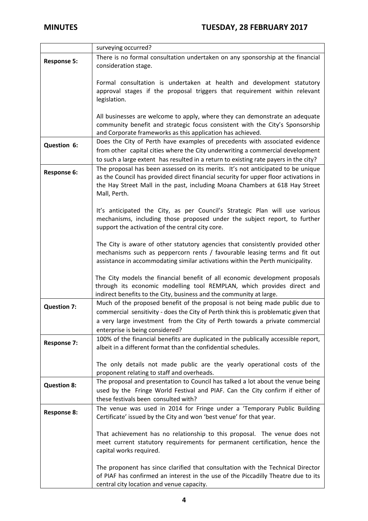|                    | surveying occurred?                                                                                                                                 |  |
|--------------------|-----------------------------------------------------------------------------------------------------------------------------------------------------|--|
| <b>Response 5:</b> | There is no formal consultation undertaken on any sponsorship at the financial                                                                      |  |
|                    | consideration stage.                                                                                                                                |  |
|                    |                                                                                                                                                     |  |
|                    | Formal consultation is undertaken at health and development statutory                                                                               |  |
|                    | approval stages if the proposal triggers that requirement within relevant                                                                           |  |
|                    | legislation.                                                                                                                                        |  |
|                    |                                                                                                                                                     |  |
|                    | All businesses are welcome to apply, where they can demonstrate an adequate                                                                         |  |
|                    | community benefit and strategic focus consistent with the City's Sponsorship                                                                        |  |
|                    | and Corporate frameworks as this application has achieved.                                                                                          |  |
|                    | Does the City of Perth have examples of precedents with associated evidence                                                                         |  |
| Question 6:        | from other capital cities where the City underwriting a commercial development                                                                      |  |
|                    | to such a large extent has resulted in a return to existing rate payers in the city?                                                                |  |
|                    | The proposal has been assessed on its merits. It's not anticipated to be unique                                                                     |  |
| Response 6:        | as the Council has provided direct financial security for upper floor activations in                                                                |  |
|                    | the Hay Street Mall in the past, including Moana Chambers at 618 Hay Street                                                                         |  |
|                    | Mall, Perth.                                                                                                                                        |  |
|                    |                                                                                                                                                     |  |
|                    | It's anticipated the City, as per Council's Strategic Plan will use various                                                                         |  |
|                    | mechanisms, including those proposed under the subject report, to further                                                                           |  |
|                    | support the activation of the central city core.                                                                                                    |  |
|                    |                                                                                                                                                     |  |
|                    | The City is aware of other statutory agencies that consistently provided other                                                                      |  |
|                    | mechanisms such as peppercorn rents / favourable leasing terms and fit out                                                                          |  |
|                    | assistance in accommodating similar activations within the Perth municipality.                                                                      |  |
|                    |                                                                                                                                                     |  |
|                    | The City models the financial benefit of all economic development proposals                                                                         |  |
|                    | through its economic modelling tool REMPLAN, which provides direct and                                                                              |  |
|                    | indirect benefits to the City, business and the community at large.                                                                                 |  |
|                    | Much of the proposed benefit of the proposal is not being made public due to                                                                        |  |
| <b>Question 7:</b> | commercial sensitivity - does the City of Perth think this is problematic given that                                                                |  |
|                    | a very large investment from the City of Perth towards a private commercial                                                                         |  |
|                    | enterprise is being considered?                                                                                                                     |  |
|                    |                                                                                                                                                     |  |
| <b>Response 7:</b> | 100% of the financial benefits are duplicated in the publically accessible report,<br>albeit in a different format than the confidential schedules. |  |
|                    |                                                                                                                                                     |  |
|                    |                                                                                                                                                     |  |
|                    | The only details not made public are the yearly operational costs of the<br>proponent relating to staff and overheads.                              |  |
|                    |                                                                                                                                                     |  |
| <b>Question 8:</b> | The proposal and presentation to Council has talked a lot about the venue being                                                                     |  |
|                    | used by the Fringe World Festival and PIAF. Can the City confirm if either of                                                                       |  |
|                    | these festivals been consulted with?                                                                                                                |  |
| <b>Response 8:</b> | The venue was used in 2014 for Fringe under a 'Temporary Public Building                                                                            |  |
|                    | Certificate' issued by the City and won 'best venue' for that year.                                                                                 |  |
|                    |                                                                                                                                                     |  |
|                    | That achievement has no relationship to this proposal. The venue does not                                                                           |  |
|                    | meet current statutory requirements for permanent certification, hence the                                                                          |  |
|                    | capital works required.                                                                                                                             |  |
|                    |                                                                                                                                                     |  |
|                    | The proponent has since clarified that consultation with the Technical Director                                                                     |  |
|                    | of PIAF has confirmed an interest in the use of the Piccadilly Theatre due to its                                                                   |  |
|                    | central city location and venue capacity.                                                                                                           |  |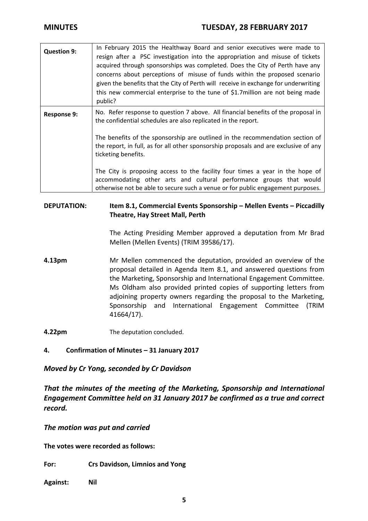| <b>Question 9:</b> | In February 2015 the Healthway Board and senior executives were made to<br>resign after a PSC investigation into the appropriation and misuse of tickets<br>acquired through sponsorships was completed. Does the City of Perth have any<br>concerns about perceptions of misuse of funds within the proposed scenario<br>given the benefits that the City of Perth will receive in exchange for underwriting<br>this new commercial enterprise to the tune of \$1.7 million are not being made<br>public? |
|--------------------|------------------------------------------------------------------------------------------------------------------------------------------------------------------------------------------------------------------------------------------------------------------------------------------------------------------------------------------------------------------------------------------------------------------------------------------------------------------------------------------------------------|
| <b>Response 9:</b> | No. Refer response to question 7 above. All financial benefits of the proposal in<br>the confidential schedules are also replicated in the report.                                                                                                                                                                                                                                                                                                                                                         |
|                    | The benefits of the sponsorship are outlined in the recommendation section of<br>the report, in full, as for all other sponsorship proposals and are exclusive of any<br>ticketing benefits.                                                                                                                                                                                                                                                                                                               |
|                    | The City is proposing access to the facility four times a year in the hope of<br>accommodating other arts and cultural performance groups that would<br>otherwise not be able to secure such a venue or for public engagement purposes.                                                                                                                                                                                                                                                                    |

# **DEPUTATION: Item 8.1, Commercial Events Sponsorship – Mellen Events – Piccadilly Theatre, Hay Street Mall, Perth**

The Acting Presiding Member approved a deputation from Mr Brad Mellen (Mellen Events) (TRIM 39586/17).

- **4.13pm** Mr Mellen commenced the deputation, provided an overview of the proposal detailed in Agenda Item 8.1, and answered questions from the Marketing, Sponsorship and International Engagement Committee. Ms Oldham also provided printed copies of supporting letters from adjoining property owners regarding the proposal to the Marketing, Sponsorship and International Engagement Committee (TRIM 41664/17).
- **4.22pm** The deputation concluded.

# **4. Confirmation of Minutes – 31 January 2017**

## *Moved by Cr Yong, seconded by Cr Davidson*

*That the minutes of the meeting of the Marketing, Sponsorship and International Engagement Committee held on 31 January 2017 be confirmed as a true and correct record.*

*The motion was put and carried*

**The votes were recorded as follows:**

**For: Crs Davidson, Limnios and Yong**

**Against: Nil**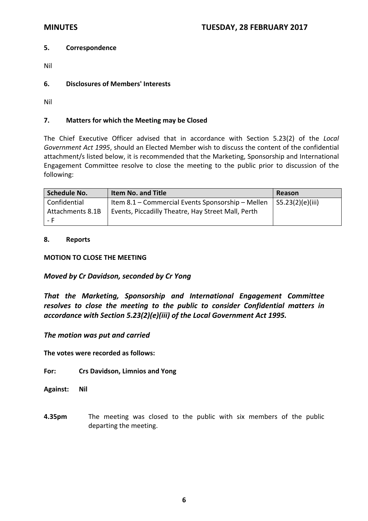### **5. Correspondence**

- Nil
- **6. Disclosures of Members' Interests**

Nil

### **7. Matters for which the Meeting may be Closed**

The Chief Executive Officer advised that in accordance with Section 5.23(2) of the *Local Government Act 1995*, should an Elected Member wish to discuss the content of the confidential attachment/s listed below, it is recommended that the Marketing, Sponsorship and International Engagement Committee resolve to close the meeting to the public prior to discussion of the following:

| <b>Schedule No.</b> | <b>Item No. and Title</b>                          | Reason               |
|---------------------|----------------------------------------------------|----------------------|
| Confidential        | Item 8.1 – Commercial Events Sponsorship – Mellen  | $ $ S5.23(2)(e)(iii) |
| Attachments 8.1B    | Events, Piccadilly Theatre, Hay Street Mall, Perth |                      |
| - Fi                |                                                    |                      |

#### **8. Reports**

#### **MOTION TO CLOSE THE MEETING**

## *Moved by Cr Davidson, seconded by Cr Yong*

*That the Marketing, Sponsorship and International Engagement Committee resolves to close the meeting to the public to consider Confidential matters in accordance with Section 5.23(2)(e)(iii) of the Local Government Act 1995.*

#### *The motion was put and carried*

**The votes were recorded as follows:**

#### **For: Crs Davidson, Limnios and Yong**

**Against: Nil**

**4.35pm** The meeting was closed to the public with six members of the public departing the meeting.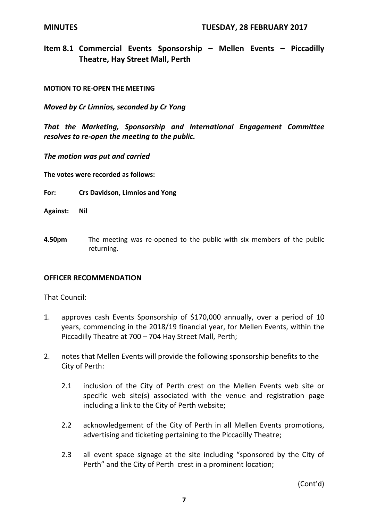**Item 8.1 Commercial Events Sponsorship – Mellen Events – Piccadilly Theatre, Hay Street Mall, Perth**

## **MOTION TO RE‐OPEN THE MEETING**

*Moved by Cr Limnios, seconded by Cr Yong*

*That the Marketing, Sponsorship and International Engagement Committee resolves to re‐open the meeting to the public.*

*The motion was put and carried*

**The votes were recorded as follows:**

- **For: Crs Davidson, Limnios and Yong**
- **Against: Nil**
- **4.50pm** The meeting was re-opened to the public with six members of the public returning.

## **OFFICER RECOMMENDATION**

That Council:

- 1. approves cash Events Sponsorship of \$170,000 annually, over a period of 10 years, commencing in the 2018/19 financial year, for Mellen Events, within the Piccadilly Theatre at 700 – 704 Hay Street Mall, Perth;
- 2. notes that Mellen Events will provide the following sponsorship benefits to the City of Perth:
	- 2.1 inclusion of the City of Perth crest on the Mellen Events web site or specific web site(s) associated with the venue and registration page including a link to the City of Perth website;
	- 2.2 acknowledgement of the City of Perth in all Mellen Events promotions, advertising and ticketing pertaining to the Piccadilly Theatre;
	- 2.3 all event space signage at the site including "sponsored by the City of Perth" and the City of Perth crest in a prominent location;

(Cont'd)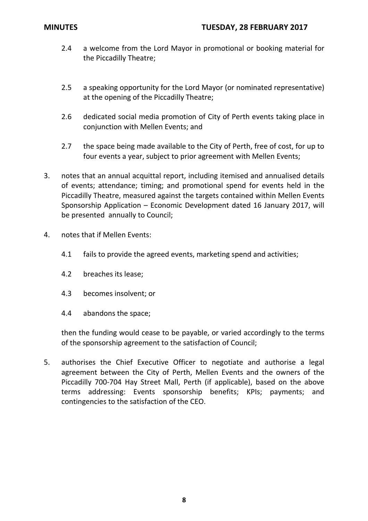- 2.4 a welcome from the Lord Mayor in promotional or booking material for the Piccadilly Theatre;
- 2.5 a speaking opportunity for the Lord Mayor (or nominated representative) at the opening of the Piccadilly Theatre;
- 2.6 dedicated social media promotion of City of Perth events taking place in conjunction with Mellen Events; and
- 2.7 the space being made available to the City of Perth, free of cost, for up to four events a year, subject to prior agreement with Mellen Events;
- 3. notes that an annual acquittal report, including itemised and annualised details of events; attendance; timing; and promotional spend for events held in the Piccadilly Theatre, measured against the targets contained within Mellen Events Sponsorship Application – Economic Development dated 16 January 2017, will be presented annually to Council;
- 4. notes that if Mellen Events:
	- 4.1 fails to provide the agreed events, marketing spend and activities;
	- 4.2 breaches its lease;
	- 4.3 becomes insolvent; or
	- 4.4 abandons the space;

then the funding would cease to be payable, or varied accordingly to the terms of the sponsorship agreement to the satisfaction of Council;

5. authorises the Chief Executive Officer to negotiate and authorise a legal agreement between the City of Perth, Mellen Events and the owners of the Piccadilly 700‐704 Hay Street Mall, Perth (if applicable), based on the above terms addressing: Events sponsorship benefits; KPIs; payments; and contingencies to the satisfaction of the CEO.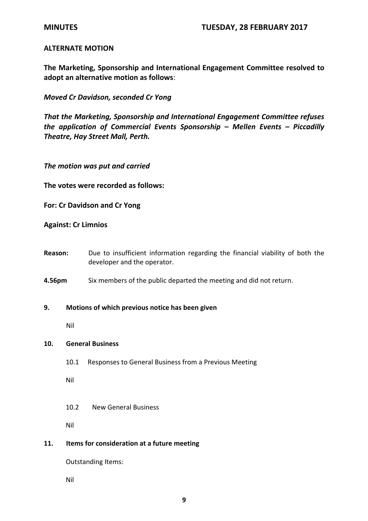## **ALTERNATE MOTION**

**The Marketing, Sponsorship and International Engagement Committee resolved to adopt an alternative motion as follows**:

*Moved Cr Davidson, seconded Cr Yong* 

*That the Marketing, Sponsorship and International Engagement Committee refuses the application of Commercial Events Sponsorship – Mellen Events – Piccadilly Theatre, Hay Street Mall, Perth.*

*The motion was put and carried*

**The votes were recorded as follows:**

**For: Cr Davidson and Cr Yong** 

**Against: Cr Limnios**

**Reason:** Due to insufficient information regarding the financial viability of both the developer and the operator.

**4.56pm** Six members of the public departed the meeting and did not return.

#### **9. Motions of which previous notice has been given**

Nil

#### **10. General Business**

10.1 Responses to General Business from a Previous Meeting

Nil

10.2 New General Business

Nil

#### **11. Items for consideration at a future meeting**

Outstanding Items:

Nil